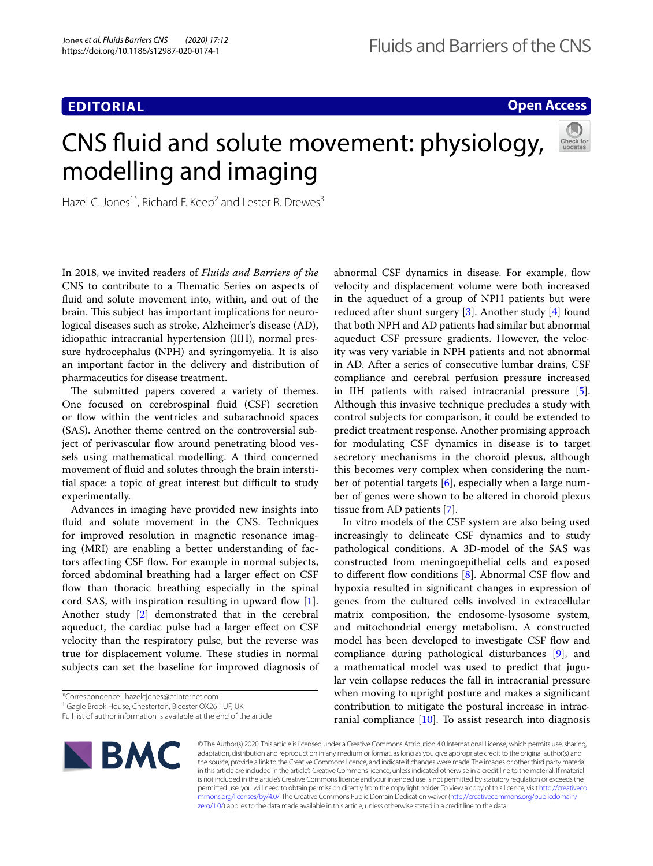# **EDITORIAL**

# **Open Access**

# CNS fuid and solute movement: physiology, modelling and imaging



Hazel C. Jones<sup>1\*</sup>, Richard F. Keep<sup>2</sup> and Lester R. Drewes<sup>3</sup>

In 2018, we invited readers of *Fluids and Barriers of the* CNS to contribute to a Thematic Series on aspects of fuid and solute movement into, within, and out of the brain. This subject has important implications for neurological diseases such as stroke, Alzheimer's disease (AD), idiopathic intracranial hypertension (IIH), normal pressure hydrocephalus (NPH) and syringomyelia. It is also an important factor in the delivery and distribution of pharmaceutics for disease treatment.

The submitted papers covered a variety of themes. One focused on cerebrospinal fuid (CSF) secretion or flow within the ventricles and subarachnoid spaces (SAS). Another theme centred on the controversial subject of perivascular flow around penetrating blood vessels using mathematical modelling. A third concerned movement of fuid and solutes through the brain interstitial space: a topic of great interest but difficult to study experimentally.

Advances in imaging have provided new insights into fuid and solute movement in the CNS. Techniques for improved resolution in magnetic resonance imaging (MRI) are enabling a better understanding of factors affecting CSF flow. For example in normal subjects, forced abdominal breathing had a larger efect on CSF flow than thoracic breathing especially in the spinal cord SAS, with inspiration resulting in upward flow [\[1](#page-2-0)]. Another study [\[2](#page-2-1)] demonstrated that in the cerebral aqueduct, the cardiac pulse had a larger efect on CSF velocity than the respiratory pulse, but the reverse was true for displacement volume. These studies in normal subjects can set the baseline for improved diagnosis of

<sup>1</sup> Gagle Brook House, Chesterton, Bicester OX26 1UF, UK

abnormal CSF dynamics in disease. For example, flow velocity and displacement volume were both increased in the aqueduct of a group of NPH patients but were reduced after shunt surgery [[3\]](#page-2-2). Another study [[4](#page-2-3)] found that both NPH and AD patients had similar but abnormal aqueduct CSF pressure gradients. However, the velocity was very variable in NPH patients and not abnormal in AD. After a series of consecutive lumbar drains, CSF compliance and cerebral perfusion pressure increased in IIH patients with raised intracranial pressure [\[5](#page-2-4)]. Although this invasive technique precludes a study with control subjects for comparison, it could be extended to predict treatment response. Another promising approach for modulating CSF dynamics in disease is to target secretory mechanisms in the choroid plexus, although this becomes very complex when considering the number of potential targets [\[6](#page-2-5)], especially when a large number of genes were shown to be altered in choroid plexus tissue from AD patients [\[7](#page-2-6)].

In vitro models of the CSF system are also being used increasingly to delineate CSF dynamics and to study pathological conditions. A 3D-model of the SAS was constructed from meningoepithelial cells and exposed to different flow conditions  $[8]$  $[8]$ . Abnormal CSF flow and hypoxia resulted in signifcant changes in expression of genes from the cultured cells involved in extracellular matrix composition, the endosome-lysosome system, and mitochondrial energy metabolism. A constructed model has been developed to investigate CSF fow and compliance during pathological disturbances [\[9](#page-2-8)], and a mathematical model was used to predict that jugular vein collapse reduces the fall in intracranial pressure when moving to upright posture and makes a signifcant contribution to mitigate the postural increase in intracranial compliance  $[10]$  $[10]$ . To assist research into diagnosis



© The Author(s) 2020. This article is licensed under a Creative Commons Attribution 4.0 International License, which permits use, sharing, adaptation, distribution and reproduction in any medium or format, as long as you give appropriate credit to the original author(s) and the source, provide a link to the Creative Commons licence, and indicate if changes were made. The images or other third party material in this article are included in the article's Creative Commons licence, unless indicated otherwise in a credit line to the material. If material is not included in the article's Creative Commons licence and your intended use is not permitted by statutory regulation or exceeds the permitted use, you will need to obtain permission directly from the copyright holder. To view a copy of this licence, visit [http://creativeco](http://creativecommons.org/licenses/by/4.0/) [mmons.org/licenses/by/4.0/.](http://creativecommons.org/licenses/by/4.0/) The Creative Commons Public Domain Dedication waiver ([http://creativecommons.org/publicdomain/](http://creativecommons.org/publicdomain/zero/1.0/) [zero/1.0/\)](http://creativecommons.org/publicdomain/zero/1.0/) applies to the data made available in this article, unless otherwise stated in a credit line to the data.

<sup>\*</sup>Correspondence: hazelcjones@btinternet.com

Full list of author information is available at the end of the article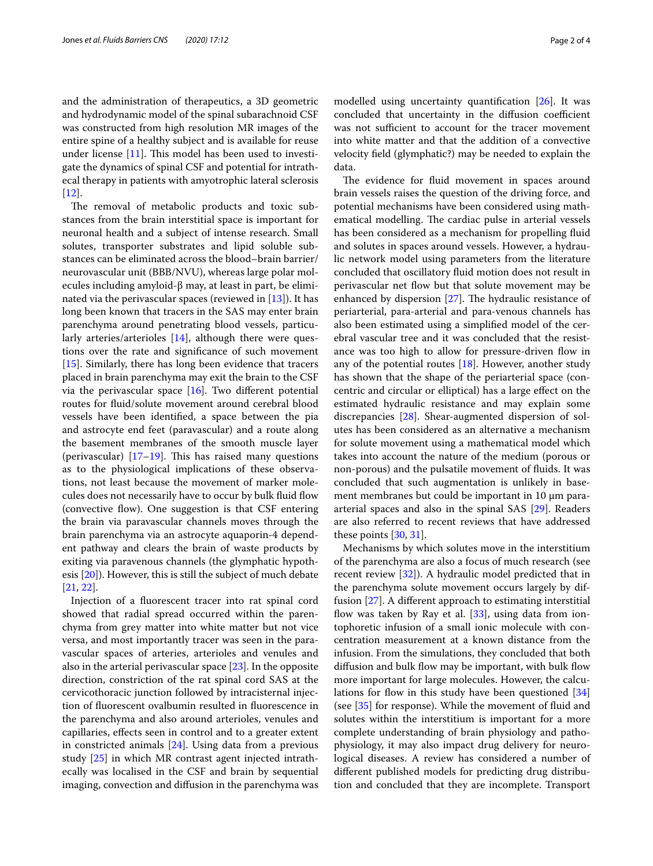and the administration of therapeutics, a 3D geometric and hydrodynamic model of the spinal subarachnoid CSF was constructed from high resolution MR images of the entire spine of a healthy subject and is available for reuse under license  $[11]$  $[11]$ . This model has been used to investigate the dynamics of spinal CSF and potential for intrathecal therapy in patients with amyotrophic lateral sclerosis [[12\]](#page-2-11).

The removal of metabolic products and toxic substances from the brain interstitial space is important for neuronal health and a subject of intense research. Small solutes, transporter substrates and lipid soluble substances can be eliminated across the blood–brain barrier/ neurovascular unit (BBB/NVU), whereas large polar molecules including amyloid-β may, at least in part, be eliminated via the perivascular spaces (reviewed in [[13](#page-2-12)]). It has long been known that tracers in the SAS may enter brain parenchyma around penetrating blood vessels, particu-larly arteries/arterioles [[14\]](#page-2-13), although there were questions over the rate and signifcance of such movement [[15\]](#page-2-14). Similarly, there has long been evidence that tracers placed in brain parenchyma may exit the brain to the CSF via the perivascular space  $[16]$  $[16]$ . Two different potential routes for fuid/solute movement around cerebral blood vessels have been identifed, a space between the pia and astrocyte end feet (paravascular) and a route along the basement membranes of the smooth muscle layer (perivascular)  $[17–19]$  $[17–19]$  $[17–19]$  $[17–19]$ . This has raised many questions as to the physiological implications of these observations, not least because the movement of marker molecules does not necessarily have to occur by bulk fuid fow (convective flow). One suggestion is that CSF entering the brain via paravascular channels moves through the brain parenchyma via an astrocyte aquaporin-4 dependent pathway and clears the brain of waste products by exiting via paravenous channels (the glymphatic hypothesis [[20\]](#page-2-18)). However, this is still the subject of much debate [[21,](#page-2-19) [22](#page-2-20)].

Injection of a fuorescent tracer into rat spinal cord showed that radial spread occurred within the parenchyma from grey matter into white matter but not vice versa, and most importantly tracer was seen in the paravascular spaces of arteries, arterioles and venules and also in the arterial perivascular space [[23\]](#page-2-21). In the opposite direction, constriction of the rat spinal cord SAS at the cervicothoracic junction followed by intracisternal injection of fuorescent ovalbumin resulted in fuorescence in the parenchyma and also around arterioles, venules and capillaries, efects seen in control and to a greater extent in constricted animals [\[24](#page-2-22)]. Using data from a previous study [\[25](#page-2-23)] in which MR contrast agent injected intrathecally was localised in the CSF and brain by sequential imaging, convection and difusion in the parenchyma was modelled using uncertainty quantifcation [[26\]](#page-2-24). It was concluded that uncertainty in the diffusion coefficient was not sufficient to account for the tracer movement into white matter and that the addition of a convective velocity feld (glymphatic?) may be needed to explain the data.

The evidence for fluid movement in spaces around brain vessels raises the question of the driving force, and potential mechanisms have been considered using mathematical modelling. The cardiac pulse in arterial vessels has been considered as a mechanism for propelling fuid and solutes in spaces around vessels. However, a hydraulic network model using parameters from the literature concluded that oscillatory fuid motion does not result in perivascular net fow but that solute movement may be enhanced by dispersion  $[27]$  $[27]$ . The hydraulic resistance of periarterial, para-arterial and para-venous channels has also been estimated using a simplifed model of the cerebral vascular tree and it was concluded that the resistance was too high to allow for pressure-driven fow in any of the potential routes [\[18](#page-2-26)]. However, another study has shown that the shape of the periarterial space (concentric and circular or elliptical) has a large efect on the estimated hydraulic resistance and may explain some discrepancies [[28](#page-2-27)]. Shear-augmented dispersion of solutes has been considered as an alternative a mechanism for solute movement using a mathematical model which takes into account the nature of the medium (porous or non-porous) and the pulsatile movement of fuids. It was concluded that such augmentation is unlikely in basement membranes but could be important in  $10 \mu m$  paraarterial spaces and also in the spinal SAS [\[29](#page-2-28)]. Readers are also referred to recent reviews that have addressed these points [[30,](#page-2-29) [31\]](#page-3-0).

Mechanisms by which solutes move in the interstitium of the parenchyma are also a focus of much research (see recent review [\[32\]](#page-3-1)). A hydraulic model predicted that in the parenchyma solute movement occurs largely by diffusion [[27\]](#page-2-25). A diferent approach to estimating interstitial flow was taken by Ray et al.  $[33]$  $[33]$ , using data from iontophoretic infusion of a small ionic molecule with concentration measurement at a known distance from the infusion. From the simulations, they concluded that both diffusion and bulk flow may be important, with bulk flow more important for large molecules. However, the calcu-lations for flow in this study have been questioned [[34](#page-3-3)] (see [[35\]](#page-3-4) for response). While the movement of fuid and solutes within the interstitium is important for a more complete understanding of brain physiology and pathophysiology, it may also impact drug delivery for neurological diseases. A review has considered a number of diferent published models for predicting drug distribution and concluded that they are incomplete. Transport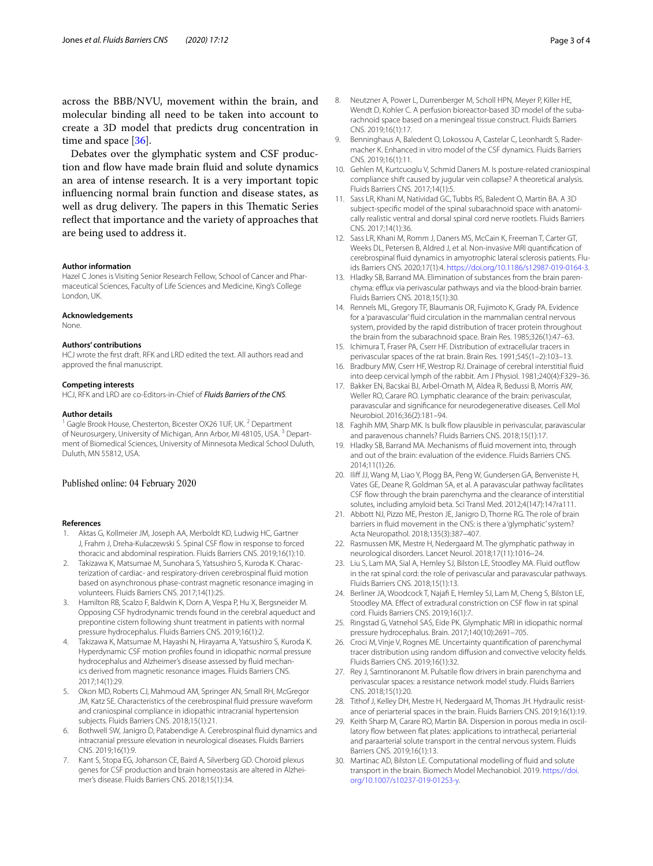across the BBB/NVU, movement within the brain, and molecular binding all need to be taken into account to create a 3D model that predicts drug concentration in time and space [[36\]](#page-3-5).

Debates over the glymphatic system and CSF production and flow have made brain fluid and solute dynamics an area of intense research. It is a very important topic infuencing normal brain function and disease states, as well as drug delivery. The papers in this Thematic Series refect that importance and the variety of approaches that are being used to address it.

#### **Author information**

Hazel C Jones is Visiting Senior Research Fellow, School of Cancer and Pharmaceutical Sciences, Faculty of Life Sciences and Medicine, King's College London, UK.

#### **Acknowledgements**

None.

# **Authors' contributions**

HCJ wrote the frst draft. RFK and LRD edited the text. All authors read and approved the fnal manuscript.

#### **Competing interests**

HCJ, RFK and LRD are co-Editors-in-Chief of *Fluids Barriers of the CNS*.

#### **Author details**

<sup>1</sup> Gagle Brook House, Chesterton, Bicester OX26 1UF, UK.<sup>2</sup> Department of Neurosurgery, University of Michigan, Ann Arbor, MI 48105, USA.<sup>3</sup> Department of Biomedical Sciences, University of Minnesota Medical School Duluth, Duluth, MN 55812, USA.

# Published online: 04 February 2020

## **References**

- <span id="page-2-0"></span>1. Aktas G, Kollmeier JM, Joseph AA, Merboldt KD, Ludwig HC, Gartner J, Frahm J, Dreha-Kulaczewski S. Spinal CSF flow in response to forced thoracic and abdominal respiration. Fluids Barriers CNS. 2019;16(1):10.
- <span id="page-2-1"></span>2. Takizawa K, Matsumae M, Sunohara S, Yatsushiro S, Kuroda K. Characterization of cardiac- and respiratory-driven cerebrospinal fuid motion based on asynchronous phase-contrast magnetic resonance imaging in volunteers. Fluids Barriers CNS. 2017;14(1):25.
- <span id="page-2-2"></span>3. Hamilton RB, Scalzo F, Baldwin K, Dorn A, Vespa P, Hu X, Bergsneider M. Opposing CSF hydrodynamic trends found in the cerebral aqueduct and prepontine cistern following shunt treatment in patients with normal pressure hydrocephalus. Fluids Barriers CNS. 2019;16(1):2.
- <span id="page-2-3"></span>4. Takizawa K, Matsumae M, Hayashi N, Hirayama A, Yatsushiro S, Kuroda K. Hyperdynamic CSF motion profles found in idiopathic normal pressure hydrocephalus and Alzheimer's disease assessed by fuid mechanics derived from magnetic resonance images. Fluids Barriers CNS. 2017;14(1):29.
- <span id="page-2-4"></span>5. Okon MD, Roberts CJ, Mahmoud AM, Springer AN, Small RH, McGregor JM, Katz SE. Characteristics of the cerebrospinal fuid pressure waveform and craniospinal compliance in idiopathic intracranial hypertension subjects. Fluids Barriers CNS. 2018;15(1):21.
- <span id="page-2-5"></span>6. Bothwell SW, Janigro D, Patabendige A. Cerebrospinal fuid dynamics and intracranial pressure elevation in neurological diseases. Fluids Barriers CNS. 2019;16(1):9.
- <span id="page-2-6"></span>7. Kant S, Stopa EG, Johanson CE, Baird A, Silverberg GD. Choroid plexus genes for CSF production and brain homeostasis are altered in Alzheimer's disease. Fluids Barriers CNS. 2018;15(1):34.
- <span id="page-2-7"></span>8. Neutzner A, Power L, Durrenberger M, Scholl HPN, Meyer P, Killer HE, Wendt D, Kohler C. A perfusion bioreactor-based 3D model of the subarachnoid space based on a meningeal tissue construct. Fluids Barriers CNS. 2019;16(1):17.
- <span id="page-2-8"></span>9. Benninghaus A, Baledent O, Lokossou A, Castelar C, Leonhardt S, Radermacher K. Enhanced in vitro model of the CSF dynamics. Fluids Barriers CNS. 2019;16(1):11.
- <span id="page-2-9"></span>10. Gehlen M, Kurtcuoglu V, Schmid Daners M. Is posture-related craniospinal compliance shift caused by jugular vein collapse? A theoretical analysis. Fluids Barriers CNS. 2017;14(1):5.
- <span id="page-2-10"></span>11. Sass LR, Khani M, Natividad GC, Tubbs RS, Baledent O, Martin BA. A 3D subject-specifc model of the spinal subarachnoid space with anatomically realistic ventral and dorsal spinal cord nerve rootlets. Fluids Barriers CNS. 2017;14(1):36.
- <span id="page-2-11"></span>12. Sass LR, Khani M, Romm J, Daners MS, McCain K, Freeman T, Carter GT, Weeks DL, Petersen B, Aldred J, et al. Non-invasive MRI quantifcation of cerebrospinal fuid dynamics in amyotrophic lateral sclerosis patients. Fluids Barriers CNS. 2020;17(1):4. [https://doi.org/10.1186/s12987-019-0164-3.](https://doi.org/10.1186/s12987-019-0164-3)
- <span id="page-2-12"></span>13. Hladky SB, Barrand MA. Elimination of substances from the brain parenchyma: efflux via perivascular pathways and via the blood-brain barrier. Fluids Barriers CNS. 2018;15(1):30.
- <span id="page-2-13"></span>14. Rennels ML, Gregory TF, Blaumanis OR, Fujimoto K, Grady PA. Evidence for a 'paravascular' fuid circulation in the mammalian central nervous system, provided by the rapid distribution of tracer protein throughout the brain from the subarachnoid space. Brain Res. 1985;326(1):47–63.
- <span id="page-2-14"></span>15. Ichimura T, Fraser PA, Cserr HF. Distribution of extracellular tracers in perivascular spaces of the rat brain. Brain Res. 1991;545(1–2):103–13.
- <span id="page-2-15"></span>16. Bradbury MW, Cserr HF, Westrop RJ. Drainage of cerebral interstitial fuid into deep cervical lymph of the rabbit. Am J Physiol. 1981;240(4):F329–36.
- <span id="page-2-16"></span>17. Bakker EN, Bacskai BJ, Arbel-Ornath M, Aldea R, Bedussi B, Morris AW, Weller RO, Carare RO. Lymphatic clearance of the brain: perivascular, paravascular and signifcance for neurodegenerative diseases. Cell Mol Neurobiol. 2016;36(2):181–94.
- <span id="page-2-26"></span>18. Faghih MM, Sharp MK. Is bulk flow plausible in perivascular, paravascular and paravenous channels? Fluids Barriers CNS. 2018;15(1):17.
- <span id="page-2-17"></span>19. Hladky SB, Barrand MA. Mechanisms of fuid movement into, through and out of the brain: evaluation of the evidence. Fluids Barriers CNS. 2014;11(1):26.
- <span id="page-2-18"></span>20. Iliff JJ, Wang M, Liao Y, Plogg BA, Peng W, Gundersen GA, Benveniste H, Vates GE, Deane R, Goldman SA, et al. A paravascular pathway facilitates CSF fow through the brain parenchyma and the clearance of interstitial solutes, including amyloid beta. Sci Transl Med. 2012;4(147):147ra111.
- <span id="page-2-19"></span>21. Abbott NJ, Pizzo ME, Preston JE, Janigro D, Thorne RG. The role of brain barriers in fuid movement in the CNS: is there a 'glymphatic' system? Acta Neuropathol. 2018;135(3):387–407.
- <span id="page-2-20"></span>22. Rasmussen MK, Mestre H, Nedergaard M. The glymphatic pathway in neurological disorders. Lancet Neurol. 2018;17(11):1016–24.
- <span id="page-2-21"></span>23. Liu S, Lam MA, Sial A, Hemley SJ, Bilston LE, Stoodley MA. Fluid outfow in the rat spinal cord: the role of perivascular and paravascular pathways. Fluids Barriers CNS. 2018;15(1):13.
- <span id="page-2-22"></span>24. Berliner JA, Woodcock T, Najaf E, Hemley SJ, Lam M, Cheng S, Bilston LE, Stoodley MA. Effect of extradural constriction on CSF flow in rat spinal cord. Fluids Barriers CNS. 2019;16(1):7.
- <span id="page-2-23"></span>25. Ringstad G, Vatnehol SAS, Eide PK. Glymphatic MRI in idiopathic normal pressure hydrocephalus. Brain. 2017;140(10):2691–705.
- <span id="page-2-24"></span>26. Croci M, Vinje V, Rognes ME. Uncertainty quantifcation of parenchymal tracer distribution using random difusion and convective velocity felds. Fluids Barriers CNS. 2019;16(1):32.
- <span id="page-2-25"></span>27. Rey J, Sarntinoranont M. Pulsatile flow drivers in brain parenchyma and perivascular spaces: a resistance network model study. Fluids Barriers CNS. 2018;15(1):20.
- <span id="page-2-27"></span>28. Tithof J, Kelley DH, Mestre H, Nedergaard M, Thomas JH. Hydraulic resistance of periarterial spaces in the brain. Fluids Barriers CNS. 2019;16(1):19.
- <span id="page-2-28"></span>29. Keith Sharp M, Carare RO, Martin BA. Dispersion in porous media in oscillatory flow between flat plates: applications to intrathecal, periarterial and paraarterial solute transport in the central nervous system. Fluids Barriers CNS. 2019;16(1):13.
- <span id="page-2-29"></span>30. Martinac AD, Bilston LE. Computational modelling of fuid and solute transport in the brain. Biomech Model Mechanobiol. 2019. [https://doi.](https://doi.org/10.1007/s10237-019-01253-y) [org/10.1007/s10237-019-01253-y.](https://doi.org/10.1007/s10237-019-01253-y)